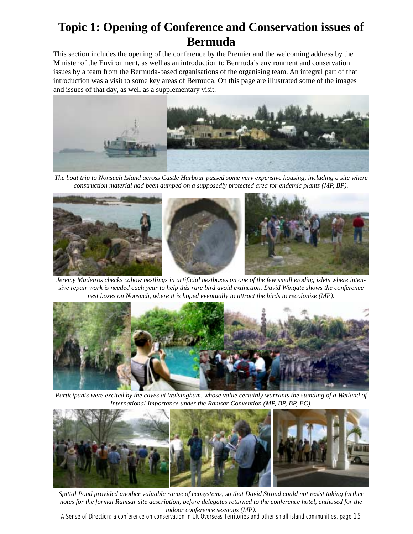## **Topic 1: Opening of Conference and Conservation issues of Bermuda**

This section includes the opening of the conference by the Premier and the welcoming address by the Minister of the Environment, as well as an introduction to Bermuda's environment and conservation issues by a team from the Bermuda-based organisations of the organising team. An integral part of that introduction was a visit to some key areas of Bermuda. On this page are illustrated some of the images and issues of that day, as well as a supplementary visit.



*The boat trip to Nonsuch Island across Castle Harbour passed some very expensive housing, including a site where construction material had been dumped on a supposedly protected area for endemic plants (MP, BP).*



*Jeremy Madeiros checks cahow nestlings in artificial nestboxes on one of the few small eroding islets where intensive repair work is needed each year to help this rare bird avoid extinction. David Wingate shows the conference nest boxes on Nonsuch, where it is hoped eventually to attract the birds to recolonise (MP).*



*Participants were excited by the caves at Walsingham, whose value certainly warrants the standing of a Wetland of International Importance under the Ramsar Convention (MP, BP, BP, EC).*



*Spittal Pond provided another valuable range of ecosystems, so that David Stroud could not resist taking further notes for the formal Ramsar site description, before delegates returned to the conference hotel, enthused for the indoor conference sessions (MP).*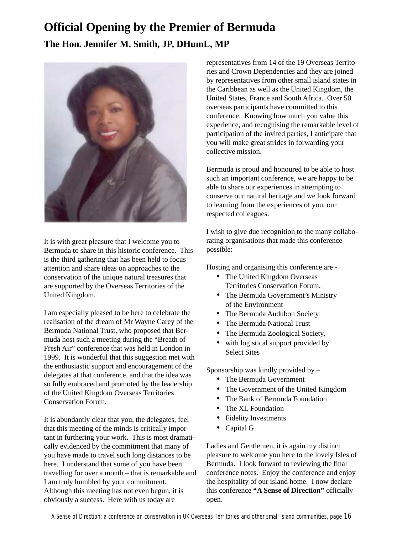# **Official Opening by the Premier of Bermuda The Hon. Jennifer M. Smith, JP, DHumL, MP**



It is with great pleasure that I welcome you to Bermuda to share in this historic conference. This is the third gathering that has been held to focus attention and share ideas on approaches to the conservation of the unique natural treasures that are supported by the Overseas Territories of the United Kingdom.

I am especially pleased to be here to celebrate the realisation of the dream of Mr Wayne Carey of the Bermuda National Trust, who proposed that Bermuda host such a meeting during the "Breath of Fresh Air" conference that was held in London in 1999. It is wonderful that this suggestion met with the enthusiastic support and encouragement of the delegates at that conference, and that the idea was so fully embraced and promoted by the leadership of the United Kingdom Overseas Territories Conservation Forum.

It is abundantly clear that you, the delegates, feel that this meeting of the minds is critically important in furthering your work. This is most dramatically evidenced by the commitment that many of you have made to travel such long distances to be here. I understand that some of you have been travelling for over a month – that is remarkable and I am truly humbled by your commitment. Although this meeting has not even begun, it is obviously a success. Here with us today are

representatives from 14 of the 19 Overseas Territories and Crown Dependencies and they are joined by representatives from other small island states in the Caribbean as well as the United Kingdom, the United States, France and South Africa. Over 50 overseas participants have committed to this conference. Knowing how much you value this experience, and recognising the remarkable level of participation of the invited parties, I anticipate that you will make great strides in forwarding your collective mission.

Bermuda is proud and honoured to be able to host such an important conference, we are happy to be able to share our experiences in attempting to conserve our natural heritage and we look forward to learning from the experiences of you, our respected colleagues.

I wish to give due recognition to the many collaborating organisations that made this conference possible:

Hosting and organising this conference are -

- The United Kingdom Overseas Territories Conservation Forum,
- The Bermuda Government's Ministry of the Environment
- The Bermuda Audubon Society
- The Bermuda National Trust
- The Bermuda Zoological Society,
- with logistical support provided by Select Sites

Sponsorship was kindly provided by –

- The Bermuda Government
- The Government of the United Kingdom
- The Bank of Bermuda Foundation
- The XL Foundation
- Fidelity Investments
- Capital G

Ladies and Gentlemen, it is again my distinct pleasure to welcome you here to the lovely Isles of Bermuda. I look forward to reviewing the final conference notes. Enjoy the conference and enjoy the hospitality of our island home. I now declare this conference **"A Sense of Direction"** officially open.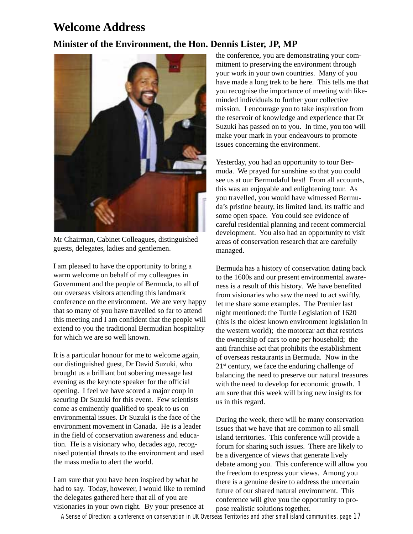## **Welcome Address**

### **Minister of the Environment, the Hon. Dennis Lister, JP, MP**



Mr Chairman, Cabinet Colleagues, distinguished guests, delegates, ladies and gentlemen.

I am pleased to have the opportunity to bring a warm welcome on behalf of my colleagues in Government and the people of Bermuda, to all of our overseas visitors attending this landmark conference on the environment. We are very happy that so many of you have travelled so far to attend this meeting and I am confident that the people will extend to you the traditional Bermudian hospitality for which we are so well known.

It is a particular honour for me to welcome again, our distinguished guest, Dr David Suzuki, who brought us a brilliant but sobering message last evening as the keynote speaker for the official opening. I feel we have scored a major coup in securing Dr Suzuki for this event. Few scientists come as eminently qualified to speak to us on environmental issues. Dr Suzuki is the face of the environment movement in Canada. He is a leader in the field of conservation awareness and education. He is a visionary who, decades ago, recognised potential threats to the environment and used the mass media to alert the world.

I am sure that you have been inspired by what he had to say. Today, however, I would like to remind the delegates gathered here that all of you are visionaries in your own right. By your presence at

the conference, you are demonstrating your commitment to preserving the environment through your work in your own countries. Many of you have made a long trek to be here. This tells me that you recognise the importance of meeting with likeminded individuals to further your collective mission. I encourage you to take inspiration from the reservoir of knowledge and experience that Dr Suzuki has passed on to you. In time, you too will make your mark in your endeavours to promote issues concerning the environment.

development. You also had an opportunity to visit areas of conservation research that are carefully managed. Yesterday, you had an opportunity to tour Bermuda. We prayed for sunshine so that you could see us at our Bermudaful best! From all accounts, this was an enjoyable and enlightening tour. As you travelled, you would have witnessed Bermuda's pristine beauty, its limited land, its traffic and some open space. You could see evidence of careful residential planning and recent commercial

Bermuda has a history of conservation dating back to the 1600s and our present environmental awareness is a result of this history. We have benefited from visionaries who saw the need to act swiftly, let me share some examples. The Premier last night mentioned: the Turtle Legislation of 1620 (this is the oldest known environment legislation in the western world); the motorcar act that restricts the ownership of cars to one per household; the anti franchise act that prohibits the establishment of overseas restaurants in Bermuda. Now in the  $21<sup>st</sup>$  century, we face the enduring challenge of balancing the need to preserve our natural treasures with the need to develop for economic growth. I am sure that this week will bring new insights for us in this regard.

During the week, there will be many conservation issues that we have that are common to all small island territories. This conference will provide a forum for sharing such issues. There are likely to be a divergence of views that generate lively debate among you. This conference will allow you the freedom to express your views. Among you there is a genuine desire to address the uncertain future of our shared natural environment. This conference will give you the opportunity to propose realistic solutions together.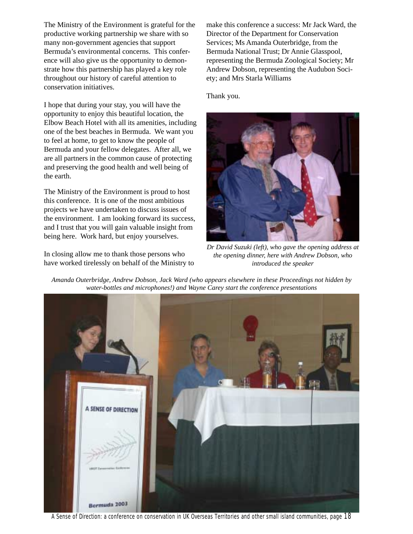The Ministry of the Environment is grateful for the productive working partnership we share with so many non-government agencies that support Bermuda's environmental concerns. This conference will also give us the opportunity to demonstrate how this partnership has played a key role throughout our history of careful attention to conservation initiatives.

I hope that during your stay, you will have the opportunity to enjoy this beautiful location, the Elbow Beach Hotel with all its amenities, including one of the best beaches in Bermuda. We want you to feel at home, to get to know the people of Bermuda and your fellow delegates. After all, we are all partners in the common cause of protecting and preserving the good health and well being of the earth.

The Ministry of the Environment is proud to host this conference. It is one of the most ambitious projects we have undertaken to discuss issues of the environment. I am looking forward its success, and I trust that you will gain valuable insight from being here. Work hard, but enjoy yourselves.

In closing allow me to thank those persons who have worked tirelessly on behalf of the Ministry to make this conference a success: Mr Jack Ward, the Director of the Department for Conservation Services; Ms Amanda Outerbridge, from the Bermuda National Trust; Dr Annie Glasspool, representing the Bermuda Zoological Society; Mr Andrew Dobson, representing the Audubon Society; and Mrs Starla Williams

Thank you.



*Dr David Suzuki (left), who gave the opening address at the opening dinner, here with Andrew Dobson, who introduced the speaker*



*Amanda Outerbridge, Andrew Dobson, Jack Ward (who appears elsewhere in these Proceedings not hidden by water-bottles and microphones!) and Wayne Carey start the conference presentations*

A Sense of Direction: a conference on conservation in UK Overseas Territories and other small island communities, page 18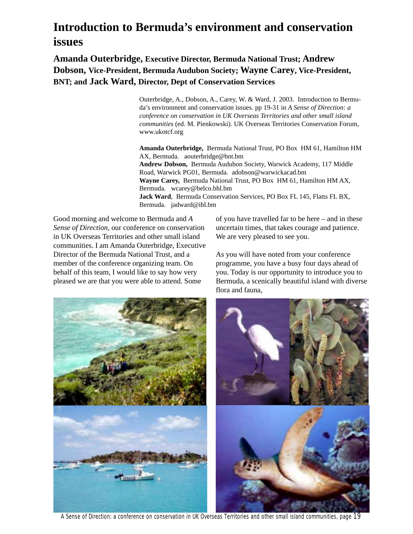## **Introduction to Bermuda's environment and conservation issues**

**Amanda Outerbridge, Executive Director, Bermuda National Trust; Andrew Dobson, Vice-President, Bermuda Audubon Society; Wayne Carey, Vice-President, BNT; and Jack Ward, Director, Dept of Conservation Services**

> Outerbridge, A., Dobson, A., Carey, W. & Ward, J. 2003. Introduction to Bermuda's environment and conservation issues. pp 19-31 in *A Sense of Direction: a conference on conservation in UK Overseas Territories and other small island communities* (ed. M. Pienkowski). UK Overseas Territories Conservation Forum, www.ukotcf.org

> **Amanda Outerbridge,** Bermuda National Trust, PO Box HM 61, Hamilton HM AX, Bermuda. aouterbridge@bnt.bm **Andrew Dobson,** Bermuda Audubon Society, Warwick Academy, 117 Middle Road, Warwick PG01, Bermuda. adobson@warwickacad.bm **Wayne Carey,** Bermuda National Trust, PO Box HM 61, Hamilton HM AX, Bermuda. wcarey@belco.bhl.bm **Jack Ward**, Bermuda Conservation Services, PO Box FL 145, Flatts FL BX, Bermuda. jadward@ibl.bm

Good morning and welcome to Bermuda and *A Sense of Direction*, our conference on conservation in UK Overseas Territories and other small island communities. I am Amanda Outerbridge, Executive Director of the Bermuda National Trust, and a member of the conference organizing team. On behalf of this team, I would like to say how very pleased we are that you were able to attend. Some

of you have travelled far to be here – and in these uncertain times, that takes courage and patience. We are very pleased to see you.

As you will have noted from your conference programme, you have a busy four days ahead of you. Today is our opportunity to introduce you to Bermuda, a scenically beautiful island with diverse flora and fauna,



A Sense of Direction: a conference on conservation in UK Overseas Territories and other small island communities, page 19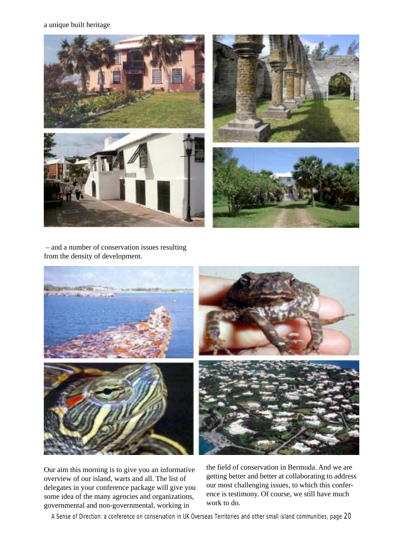#### a unique built heritage



 – and a number of conservation issues resulting from the density of development.



Our aim this morning is to give you an informative overview of our island, warts and all. The list of delegates in your conference package will give you some idea of the many agencies and organizations, governmental and non-governmental, working in

the field of conservation in Bermuda. And we are getting better and better at collaborating to address our most challenging issues, to which this conference is testimony. Of course, we still have much work to do.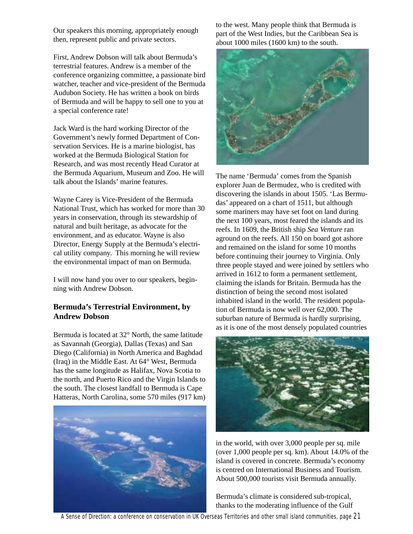Our speakers this morning, appropriately enough then, represent public and private sectors.

First, Andrew Dobson will talk about Bermuda's terrestrial features. Andrew is a member of the conference organizing committee, a passionate bird watcher, teacher and vice-president of the Bermuda Audubon Society. He has written a book on birds of Bermuda and will be happy to sell one to you at a special conference rate!

Jack Ward is the hard working Director of the Government's newly formed Department of Conservation Services. He is a marine biologist, has worked at the Bermuda Biological Station for Research, and was most recently Head Curator at the Bermuda Aquarium, Museum and Zoo. He will talk about the Islands' marine features.

Wayne Carey is Vice-President of the Bermuda National Trust, which has worked for more than 30 years in conservation, through its stewardship of natural and built heritage, as advocate for the environment, and as educator. Wayne is also Director, Energy Supply at the Bermuda's electrical utility company. This morning he will review the environmental impact of man on Bermuda.

I will now hand you over to our speakers, beginning with Andrew Dobson.

#### **Bermuda's Terrestrial Environment, by Andrew Dobson**

Bermuda is located at 32° North, the same latitude as Savannah (Georgia), Dallas (Texas) and San Diego (California) in North America and Baghdad (Iraq) in the Middle East. At 64° West, Bermuda has the same longitude as Halifax, Nova Scotia to the north, and Puerto Rico and the Virgin Islands to the south. The closest landfall to Bermuda is Cape Hatteras, North Carolina, some 570 miles (917 km)



to the west. Many people think that Bermuda is part of the West Indies, but the Caribbean Sea is about 1000 miles (1600 km) to the south.



The name 'Bermuda' comes from the Spanish explorer Juan de Bermudez, who is credited with discovering the islands in about 1505. 'Las Bermudas' appeared on a chart of 1511, but although some mariners may have set foot on land during the next 100 years, most feared the islands and its reefs. In 1609, the British ship *Sea Venture* ran aground on the reefs. All 150 on board got ashore and remained on the island for some 10 months before continuing their journey to Virginia. Only three people stayed and were joined by settlers who arrived in 1612 to form a permanent settlement, claiming the islands for Britain. Bermuda has the distinction of being the second most isolated inhabited island in the world. The resident population of Bermuda is now well over 62,000. The suburban nature of Bermuda is hardly surprising, as it is one of the most densely populated countries



in the world, with over 3,000 people per sq. mile (over 1,000 people per sq. km). About 14.0% of the island is covered in concrete. Bermuda's economy is centred on International Business and Tourism. About 500,000 tourists visit Bermuda annually.

Bermuda's climate is considered sub-tropical, thanks to the moderating influence of the Gulf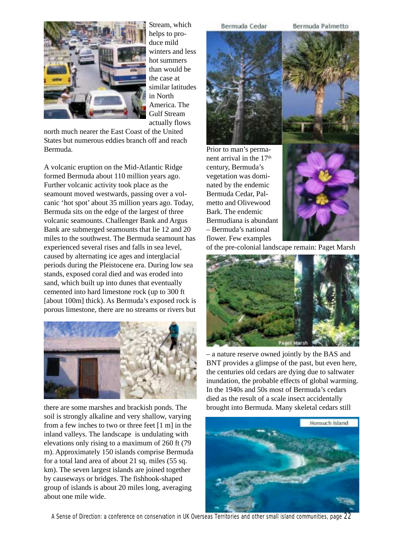

Stream, which helps to produce mild winters and less hot summers than would be the case at similar latitudes in North America. The Gulf Stream actually flows

north much nearer the East Coast of the United States but numerous eddies branch off and reach Bermuda.

A volcanic eruption on the Mid-Atlantic Ridge formed Bermuda about 110 million years ago. Further volcanic activity took place as the seamount moved westwards, passing over a volcanic 'hot spot' about 35 million years ago. Today, Bermuda sits on the edge of the largest of three volcanic seamounts. Challenger Bank and Argus Bank are submerged seamounts that lie 12 and 20 miles to the southwest. The Bermuda seamount has experienced several rises and falls in sea level, caused by alternating ice ages and interglacial periods during the Pleistocene era. During low sea stands, exposed coral died and was eroded into sand, which built up into dunes that eventually cemented into hard limestone rock (up to 300 ft [about 100m] thick). As Bermuda's exposed rock is porous limestone, there are no streams or rivers but



there are some marshes and brackish ponds. The soil is strongly alkaline and very shallow, varying from a few inches to two or three feet [1 m] in the inland valleys. The landscape is undulating with elevations only rising to a maximum of 260 ft (79 m). Approximately 150 islands comprise Bermuda for a total land area of about 21 sq. miles (55 sq. km). The seven largest islands are joined together by causeways or bridges. The fishhook-shaped group of islands is about 20 miles long, averaging about one mile wide.

Bermuda Cedar

Bermuda Palmetto



century, Bermuda's

Bark. The endemic



of the pre-colonial landscape remain: Paget Marsh



– a nature reserve owned jointly by the BAS and BNT provides a glimpse of the past, but even here, the centuries old cedars are dying due to saltwater inundation, the probable effects of global warming. In the 1940s and 50s most of Bermuda's cedars died as the result of a scale insect accidentally brought into Bermuda. Many skeletal cedars still



A Sense of Direction: a conference on conservation in UK Overseas Territories and other small island communities, page 22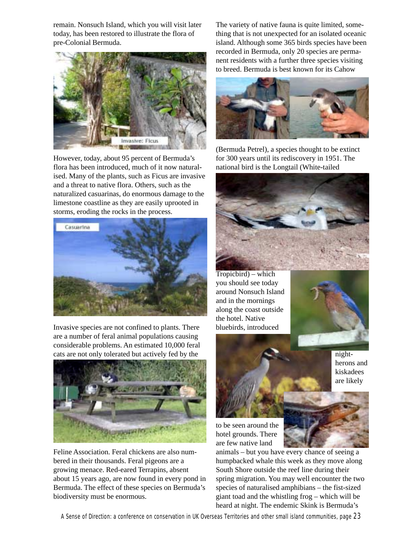remain. Nonsuch Island, which you will visit later today, has been restored to illustrate the flora of pre-Colonial Bermuda.



However, today, about 95 percent of Bermuda's flora has been introduced, much of it now naturalised. Many of the plants, such as Ficus are invasive and a threat to native flora. Others, such as the naturalized casuarinas, do enormous damage to the limestone coastline as they are easily uprooted in storms, eroding the rocks in the process.



Invasive species are not confined to plants. There are a number of feral animal populations causing considerable problems. An estimated 10,000 feral cats are not only tolerated but actively fed by the



Feline Association. Feral chickens are also numbered in their thousands. Feral pigeons are a growing menace. Red-eared Terrapins, absent about 15 years ago, are now found in every pond in Bermuda. The effect of these species on Bermuda's biodiversity must be enormous.

The variety of native fauna is quite limited, something that is not unexpected for an isolated oceanic island. Although some 365 birds species have been recorded in Bermuda, only 20 species are permanent residents with a further three species visiting to breed. Bermuda is best known for its Cahow



(Bermuda Petrel), a species thought to be extinct for 300 years until its rediscovery in 1951. The national bird is the Longtail (White-tailed



Tropicbird) – which you should see today around Nonsuch Island and in the mornings along the coast outside the hotel. Native bluebirds, introduced





nightherons and kiskadees are likely

to be seen around the hotel grounds. There are few native land

animals – but you have every chance of seeing a humpbacked whale this week as they move along South Shore outside the reef line during their spring migration. You may well encounter the two species of naturalised amphibians – the fist-sized giant toad and the whistling frog – which will be heard at night. The endemic Skink is Bermuda's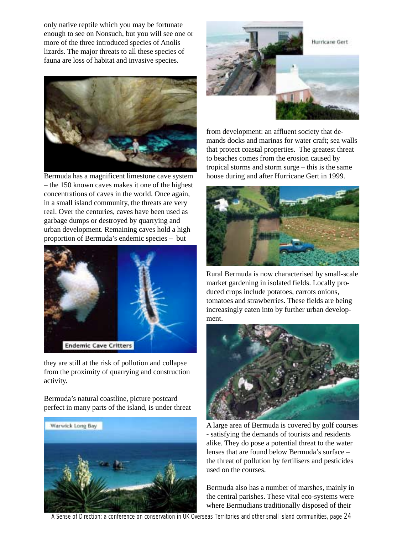only native reptile which you may be fortunate enough to see on Nonsuch, but you will see one or more of the three introduced species of Anolis lizards. The major threats to all these species of fauna are loss of habitat and invasive species.



Bermuda has a magnificent limestone cave system – the 150 known caves makes it one of the highest concentrations of caves in the world. Once again, in a small island community, the threats are very real. Over the centuries, caves have been used as garbage dumps or destroyed by quarrying and urban development. Remaining caves hold a high proportion of Bermuda's endemic species – but



they are still at the risk of pollution and collapse from the proximity of quarrying and construction activity.

Bermuda's natural coastline, picture postcard perfect in many parts of the island, is under threat





from development: an affluent society that demands docks and marinas for water craft; sea walls that protect coastal properties. The greatest threat to beaches comes from the erosion caused by tropical storms and storm surge – this is the same house during and after Hurricane Gert in 1999.



Rural Bermuda is now characterised by small-scale market gardening in isolated fields. Locally produced crops include potatoes, carrots onions, tomatoes and strawberries. These fields are being increasingly eaten into by further urban development.



A large area of Bermuda is covered by golf courses - satisfying the demands of tourists and residents alike. They do pose a potential threat to the water lenses that are found below Bermuda's surface – the threat of pollution by fertilisers and pesticides used on the courses.

Bermuda also has a number of marshes, mainly in the central parishes. These vital eco-systems were where Bermudians traditionally disposed of their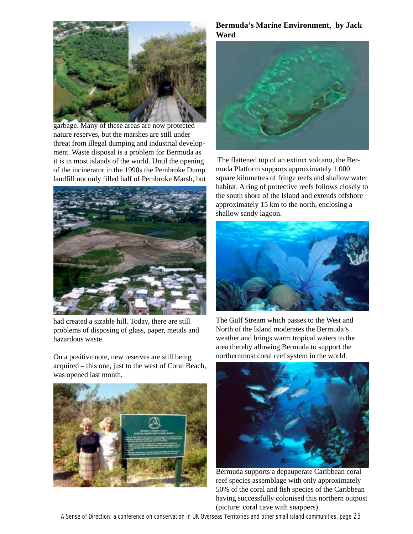

garbage. Many of these areas are now protected nature reserves, but the marshes are still under threat from illegal dumping and industrial development. Waste disposal is a problem for Bermuda as it is in most islands of the world. Until the opening of the incinerator in the 1990s the Pembroke Dump landfill not only filled half of Pembroke Marsh, but



had created a sizable hill. Today, there are still problems of disposing of glass, paper, metals and hazardous waste.

On a positive note, new reserves are still being acquired – this one, just to the west of Coral Beach, was opened last month.



#### **Bermuda's Marine Environment, by Jack Ward**



 The flattened top of an extinct volcano, the Bermuda Platform supports approximately 1,000 square kilometres of fringe reefs and shallow water habitat. A ring of protective reefs follows closely to the south shore of the Island and extends offshore approximately 15 km to the north, enclosing a shallow sandy lagoon.



The Gulf Stream which passes to the West and North of the Island moderates the Bermuda's weather and brings warm tropical waters to the area thereby allowing Bermuda to support the northernmost coral reef system in the world.



Bermuda supports a depauperate Caribbean coral reef species assemblage with only approximately 50% of the coral and fish species of the Caribbean having successfully colonised this northern outpost (picture: coral cave with snappers).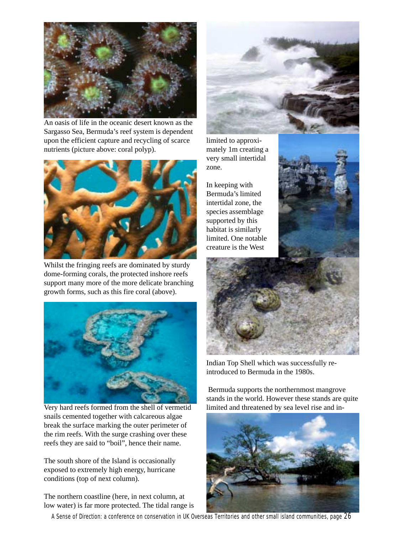

An oasis of life in the oceanic desert known as the Sargasso Sea, Bermuda's reef system is dependent upon the efficient capture and recycling of scarce nutrients (picture above: coral polyp).



Whilst the fringing reefs are dominated by sturdy dome-forming corals, the protected inshore reefs support many more of the more delicate branching growth forms, such as this fire coral (above).



Very hard reefs formed from the shell of vermetid snails cemented together with calcareous algae break the surface marking the outer perimeter of the rim reefs. With the surge crashing over these reefs they are said to "boil", hence their name.

The south shore of the Island is occasionally exposed to extremely high energy, hurricane conditions (top of next column).

The northern coastline (here, in next column, at low water) is far more protected. The tidal range is



limited to approximately 1m creating a very small intertidal zone.

In keeping with Bermuda's limited intertidal zone, the species assemblage supported by this habitat is similarly limited. One notable creature is the West





Indian Top Shell which was successfully reintroduced to Bermuda in the 1980s.

 Bermuda supports the northernmost mangrove stands in the world. However these stands are quite limited and threatened by sea level rise and in-



A Sense of Direction: a conference on conservation in UK Overseas Territories and other small island communities, page 26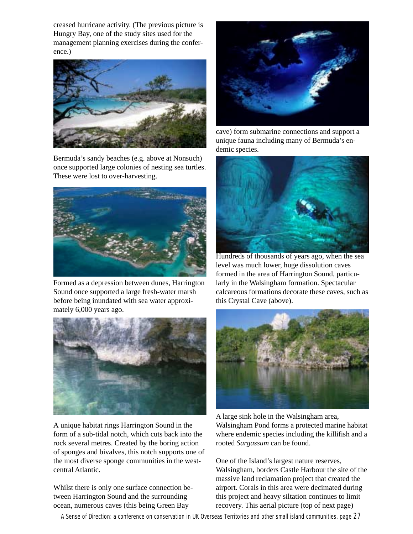creased hurricane activity. (The previous picture is Hungry Bay, one of the study sites used for the management planning exercises during the conference.)



Bermuda's sandy beaches (e.g. above at Nonsuch) once supported large colonies of nesting sea turtles. These were lost to over-harvesting.



Formed as a depression between dunes, Harrington Sound once supported a large fresh-water marsh before being inundated with sea water approximately 6,000 years ago.



A unique habitat rings Harrington Sound in the form of a sub-tidal notch, which cuts back into the rock several metres. Created by the boring action of sponges and bivalves, this notch supports one of the most diverse sponge communities in the westcentral Atlantic.

Whilst there is only one surface connection between Harrington Sound and the surrounding ocean, numerous caves (this being Green Bay



cave) form submarine connections and support a unique fauna including many of Bermuda's endemic species.



Hundreds of thousands of years ago, when the sea level was much lower, huge dissolution caves formed in the area of Harrington Sound, particularly in the Walsingham formation. Spectacular calcareous formations decorate these caves, such as this Crystal Cave (above).



A large sink hole in the Walsingham area, Walsingham Pond forms a protected marine habitat where endemic species including the killifish and a rooted *Sargassum* can be found.

One of the Island's largest nature reserves, Walsingham, borders Castle Harbour the site of the massive land reclamation project that created the airport. Corals in this area were decimated during this project and heavy siltation continues to limit recovery. This aerial picture (top of next page)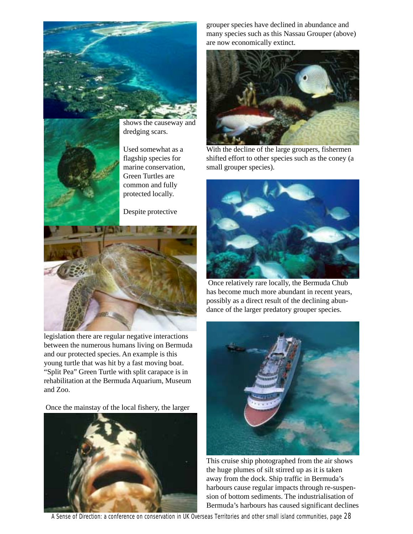



shows the causeway and dredging scars.

Used somewhat as a flagship species for marine conservation, Green Turtles are common and fully protected locally.

Despite protective



legislation there are regular negative interactions between the numerous humans living on Bermuda and our protected species. An example is this young turtle that was hit by a fast moving boat. "Split Pea" Green Turtle with split carapace is in rehabilitation at the Bermuda Aquarium, Museum and Zoo.

Once the mainstay of the local fishery, the larger



grouper species have declined in abundance and many species such as this Nassau Grouper (above) are now economically extinct.



With the decline of the large groupers, fishermen shifted effort to other species such as the coney (a small grouper species).



 Once relatively rare locally, the Bermuda Chub has become much more abundant in recent years, possibly as a direct result of the declining abundance of the larger predatory grouper species.



This cruise ship photographed from the air shows the huge plumes of silt stirred up as it is taken away from the dock. Ship traffic in Bermuda's harbours cause regular impacts through re-suspension of bottom sediments. The industrialisation of Bermuda's harbours has caused significant declines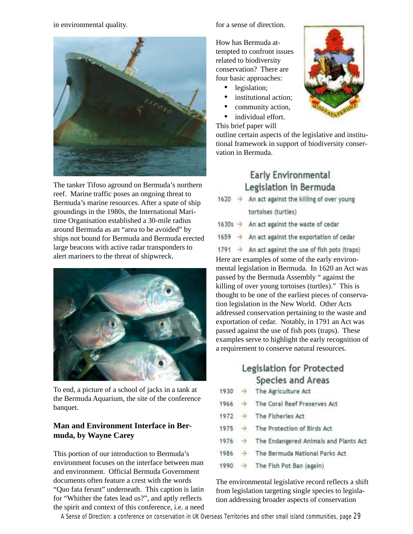in environmental quality.



The tanker Tifoso aground on Bermuda's northern reef. Marine traffic poses an ongoing threat to Bermuda's marine resources. After a spate of ship groundings in the 1980s, the International Maritime Organisation established a 30-mile radius around Bermuda as an "area to be avoided" by ships not bound for Bermuda and Bermuda erected large beacons with active radar transponders to alert mariners to the threat of shipwreck.



To end, a picture of a school of jacks in a tank at the Bermuda Aquarium, the site of the conference banquet.

#### **Man and Environment Interface in Bermuda, by Wayne Carey**

This portion of our introduction to Bermuda's environment focuses on the interface between man and environment. Official Bermuda Government documents often feature a crest with the words "Quo fata ferunt" underneath. This caption is latin for "Whither the fates lead us?", and aptly reflects the spirit and context of this conference, i.e. a need for a sense of direction.

How has Bermuda attempted to confront issues related to biodiversity conservation? There are four basic approaches:

- legislation;
- institutional action;
- community action,
- individual effort.



This brief paper will outline certain aspects of the legislative and institutional framework in support of biodiversity conservation in Bermuda.

### **Early Environmental** Legislation in Bermuda

1620 → An act against the killing of over young

tortoises (turtles)

- 1630s  $\rightarrow$  An act against the waste of cedar
- An act against the exportation of cedar  $1659 +$

1791  $\rightarrow$  An act against the use of fish pots (traps) Here are examples of some of the early environmental legislation in Bermuda. In 1620 an Act was passed by the Bermuda Assembly " against the killing of over young tortoises (turtles)." This is thought to be one of the earliest pieces of conservation legislation in the New World. Other Acts addressed conservation pertaining to the waste and exportation of cedar. Notably, in 1791 an Act was passed against the use of fish pots (traps). These examples serve to highlight the early recognition of a requirement to conserve natural resources.

## Legislation for Protected Species and Areas

| $1930 \rightarrow$ |               | The Agriculture Act                   |
|--------------------|---------------|---------------------------------------|
| 1966               | ÷             | The Coral Reef Preserves Act          |
| 1972               | $\rightarrow$ | The Fisheries Act                     |
| $1975 \rightarrow$ |               | The Protection of Birds Act           |
| 1976               | $\rightarrow$ | The Endangered Animals and Plants Act |
| 1986               |               | The Bermuda National Parks Act        |
| 1990               |               | The Fish Pot Ban (again)              |
|                    |               |                                       |

The environmental legislative record reflects a shift from legislation targeting single species to legislation addressing broader aspects of conservation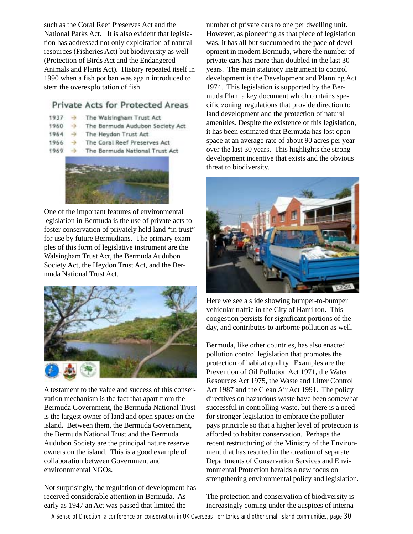such as the Coral Reef Preserves Act and the National Parks Act. It is also evident that legislation has addressed not only exploitation of natural resources (Fisheries Act) but biodiversity as well (Protection of Birds Act and the Endangered Animals and Plants Act). History repeated itself in 1990 when a fish pot ban was again introduced to stem the overexploitation of fish.

#### Private Acts for Protected Areas

- 1937 The Walsingham Trust Act
- 1960 The Bermuda Audubon Society Act
- 1964 → The Heydon Trust Act
- The Coral Reef Preserves Act 1966  $\rightarrow$
- $1969 -$ The Bermuda National Trust Act



One of the important features of environmental legislation in Bermuda is the use of private acts to foster conservation of privately held land "in trust" for use by future Bermudians. The primary examples of this form of legislative instrument are the Walsingham Trust Act, the Bermuda Audubon Society Act, the Heydon Trust Act, and the Bermuda National Trust Act.



A testament to the value and success of this conservation mechanism is the fact that apart from the Bermuda Government, the Bermuda National Trust is the largest owner of land and open spaces on the island. Between them, the Bermuda Government, the Bermuda National Trust and the Bermuda Audubon Society are the principal nature reserve owners on the island. This is a good example of collaboration between Government and environnmental NGOs.

Not surprisingly, the regulation of development has received considerable attention in Bermuda. As early as 1947 an Act was passed that limited the

number of private cars to one per dwelling unit. However, as pioneering as that piece of legislation was, it has all but succumbed to the pace of development in modern Bermuda, where the number of private cars has more than doubled in the last 30 years. The main statutory instrument to control development is the Development and Planning Act 1974. This legislation is supported by the Bermuda Plan, a key document which contains specific zoning regulations that provide direction to land development and the protection of natural amenities. Despite the existence of this legislation, it has been estimated that Bermuda has lost open space at an average rate of about 90 acres per year over the last 30 years. This highlights the strong development incentive that exists and the obvious threat to biodiversity.



Here we see a slide showing bumper-to-bumper vehicular traffic in the City of Hamilton. This congestion persists for significant portions of the day, and contributes to airborne pollution as well.

Bermuda, like other countries, has also enacted pollution control legislation that promotes the protection of habitat quality. Examples are the Prevention of Oil Pollution Act 1971, the Water Resources Act 1975, the Waste and Litter Control Act 1987 and the Clean Air Act 1991. The policy directives on hazardous waste have been somewhat successful in controlling waste, but there is a need for stronger legislation to embrace the polluter pays principle so that a higher level of protection is afforded to habitat conservation. Perhaps the recent restructuring of the Ministry of the Environment that has resulted in the creation of separate Departments of Conservation Services and Environmental Protection heralds a new focus on strengthening environmental policy and legislation.

The protection and conservation of biodiversity is increasingly coming under the auspices of interna-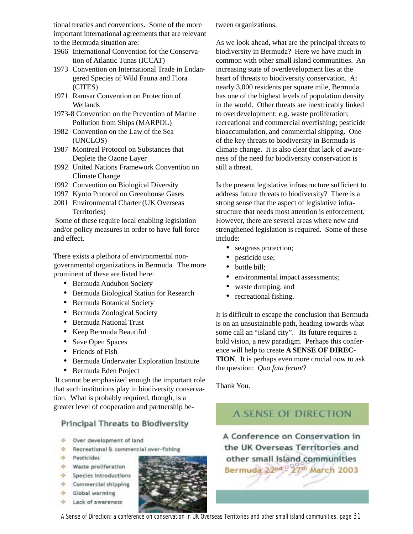tional treaties and conventions. Some of the more important international agreements that are relevant to the Bermuda situation are:

- 1966 International Convention for the Conservation of Atlantic Tunas (ICCAT)
- 1973 Convention on International Trade in Endangered Species of Wild Fauna and Flora (CITES)
- 1971 Ramsar Convention on Protection of **Wetlands**
- 1973-8 Convention on the Prevention of Marine Pollution from Ships (MARPOL)
- 1982 Convention on the Law of the Sea (UNCLOS)
- 1987 Montreal Protocol on Substances that Deplete the Ozone Layer
- 1992 United Nations Framework Convention on Climate Change
- 1992 Convention on Biological Diversity
- 1997 Kyoto Protocol on Greenhouse Gases
- 2001 Environmental Charter (UK Overseas Territories)

 Some of these require local enabling legislation and/or policy measures in order to have full force and effect.

There exists a plethora of environmental nongovernmental organizations in Bermuda. The more prominent of these are listed here:

- Bermuda Audubon Society
- Bermuda Biological Station for Research
- Bermuda Botanical Society
- Bermuda Zoological Society
- Bermuda National Trust
- Keep Bermuda Beautiful
- Save Open Spaces
- Friends of Fish
- Bermuda Underwater Exploration Institute
- Bermuda Eden Project

 It cannot be emphasized enough the important role that such institutions play in biodiversity conservation. What is probably required, though, is a greater level of cooperation and partnership be-

#### **Principal Threats to Biodiversity**

- Over development of land
- Recreational & commercial over-fishing
- + Pesticides
- + Waste proliferation
- Species introductions
- $\div$  Commercial shipping
- + Global warming
- $\Phi$  Lack of awareness



tween organizations.

As we look ahead, what are the principal threats to biodiversity in Bermuda? Here we have much in common with other small island communities. An increasing state of overdevelopment lies at the heart of threats to biodiversity conservation. At nearly 3,000 residents per square mile, Bermuda has one of the highest levels of population density in the world. Other threats are inextricably linked to overdevelopment: e.g. waste proliferation; recreational and commercial overfishing; pesticide bioaccumulation, and commercial shipping. One of the key threats to biodiversity in Bermuda is climate change. It is also clear that lack of awareness of the need for biodiversity conservation is still a threat.

Is the present legislative infrastructure sufficient to address future threats to biodiversity? There is a strong sense that the aspect of legislative infrastructure that needs most attention is enforcement. However, there are several areas where new and strengthened legislation is required. Some of these include:

- seagrass protection;
- pesticide use;
- bottle bill;
- environmental impact assessments;
- waste dumping, and
- recreational fishing.

It is difficult to escape the conclusion that Bermuda is on an unsustainable path, heading towards what some call an "island city". Its future requires a bold vision, a new paradigm. Perhaps this conference will help to create **A SENSE OF DIREC-TION**. It is perhaps even more crucial now to ask the question: *Quo fata ferunt*?

Thank You.

### **A SENSE OF DIRECTION**

A Conference on Conservation in the UK Overseas Territories and other small island communities Bermuda 2200 - 27th March 2003